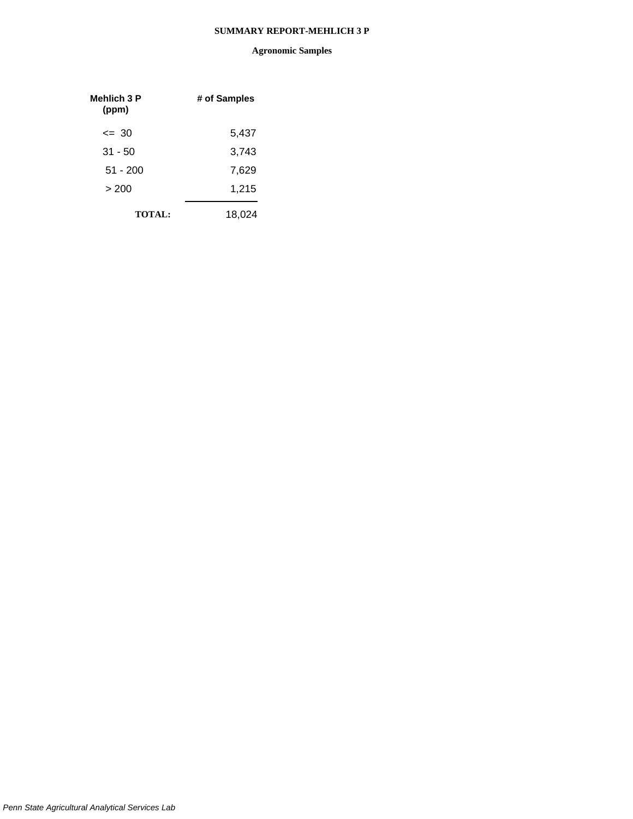| Mehlich 3 P<br>(ppm) | # of Samples |
|----------------------|--------------|
| $\leq$ 30            | 5,437        |
| $31 - 50$            | 3,743        |
| $51 - 200$           | 7,629        |
| > 200                | 1,215        |
| <b>TOTAL:</b>        | 18,024       |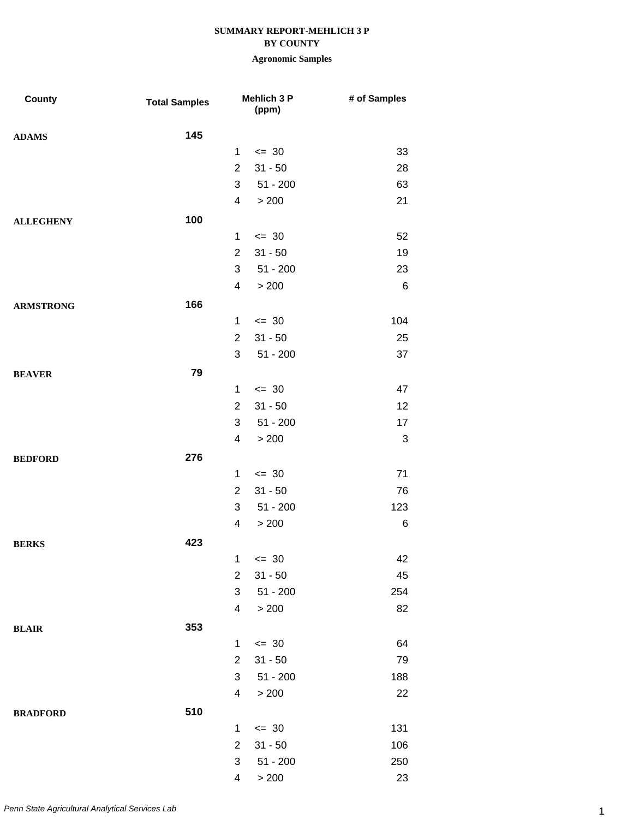## **BY COUNTY**

| <b>County</b>    | <b>Total Samples</b> |                | Mehlich 3 P<br>(ppm) | # of Samples |
|------------------|----------------------|----------------|----------------------|--------------|
| <b>ADAMS</b>     | 145                  |                |                      |              |
|                  |                      | $\mathbf{1}$   | $= 30$               | 33           |
|                  |                      | $\overline{2}$ | $31 - 50$            | 28           |
|                  |                      | 3              | $51 - 200$           | 63           |
|                  |                      | $\overline{4}$ | > 200                | 21           |
| <b>ALLEGHENY</b> | 100                  |                |                      |              |
|                  |                      | $\mathbf{1}$   | $= 30$               | 52           |
|                  |                      | $\overline{2}$ | $31 - 50$            | 19           |
|                  |                      | 3              | $51 - 200$           | 23           |
|                  |                      | 4              | > 200                | $\,6$        |
| <b>ARMSTRONG</b> | 166                  |                |                      |              |
|                  |                      | $\mathbf{1}$   | $\leq$ 30            | 104          |
|                  |                      | $\overline{2}$ | $31 - 50$            | 25           |
|                  |                      | 3              | $51 - 200$           | 37           |
| <b>BEAVER</b>    | 79                   |                |                      |              |
|                  |                      | 1              | $\leq$ 30            | 47           |
|                  |                      | $\overline{2}$ | $31 - 50$            | 12           |
|                  |                      | 3              | $51 - 200$           | 17           |
|                  |                      | $\overline{4}$ | > 200                | 3            |
| <b>BEDFORD</b>   | 276                  |                |                      |              |
|                  |                      | $\mathbf 1$    | $\leq$ 30            | 71           |
|                  |                      | $\overline{2}$ | $31 - 50$            | 76           |
|                  |                      | 3              | $51 - 200$           | 123          |
|                  |                      | 4              | > 200                | 6            |
| <b>BERKS</b>     | 423                  |                |                      |              |
|                  |                      | 1              | $\leq$ 30            | 42           |
|                  |                      | $\overline{2}$ | $31 - 50$            | 45           |
|                  |                      | 3              | $51 - 200$           | 254          |
|                  |                      | $\overline{4}$ | > 200                | 82           |
| <b>BLAIR</b>     | 353                  |                |                      |              |
|                  |                      | $\mathbf{1}$   | $\leq$ 30            | 64           |
|                  |                      | $\overline{2}$ | $31 - 50$            | 79           |
|                  |                      | 3              | $51 - 200$           | 188          |
|                  |                      | $\overline{4}$ | > 200                | 22           |
| <b>BRADFORD</b>  | 510                  |                |                      |              |
|                  |                      | 1              | $\leq$ 30            | 131          |
|                  |                      | $\overline{2}$ | $31 - 50$            | 106          |
|                  |                      | $\sqrt{3}$     | $51 - 200$           | 250          |
|                  |                      | 4              | > 200                | 23           |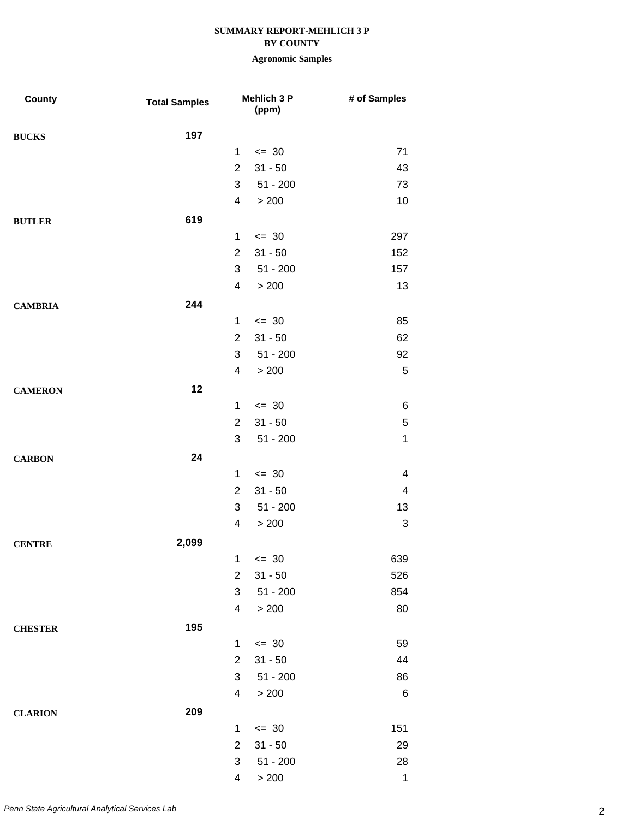### **BY COUNTY**

| County         | <b>Total Samples</b> |                | Mehlich 3 P<br>(ppm) | # of Samples              |
|----------------|----------------------|----------------|----------------------|---------------------------|
| <b>BUCKS</b>   | 197                  |                |                      |                           |
|                |                      | $\mathbf{1}$   | $\leq$ 30            | 71                        |
|                |                      | $\overline{2}$ | $31 - 50$            | 43                        |
|                |                      | 3              | 51 - 200             | 73                        |
|                |                      | 4              | > 200                | 10                        |
| <b>BUTLER</b>  | 619                  |                |                      |                           |
|                |                      | $\mathbf{1}$   | $\leq$ 30            | 297                       |
|                |                      | $\overline{2}$ | $31 - 50$            | 152                       |
|                |                      | 3              | $51 - 200$           | 157                       |
|                |                      | 4              | > 200                | 13                        |
| <b>CAMBRIA</b> | 244                  |                |                      |                           |
|                |                      | $\mathbf{1}$   | $\leq$ 30            | 85                        |
|                |                      | $\overline{2}$ | $31 - 50$            | 62                        |
|                |                      | 3              | $51 - 200$           | 92                        |
|                |                      | 4              | > 200                | $\sqrt{5}$                |
| <b>CAMERON</b> | 12                   |                |                      |                           |
|                |                      | $\mathbf{1}$   | $\leq$ 30            | 6                         |
|                |                      | $\overline{2}$ | $31 - 50$            | 5                         |
|                |                      | 3              | $51 - 200$           | $\mathbf 1$               |
| <b>CARBON</b>  | 24                   |                |                      |                           |
|                |                      | $\mathbf{1}$   | $\leq$ 30            | 4                         |
|                |                      | $\overline{2}$ | $31 - 50$            | $\overline{\mathbf{4}}$   |
|                |                      | 3              | $51 - 200$           | 13                        |
|                |                      | 4              | > 200                | $\ensuremath{\mathsf{3}}$ |
| <b>CENTRE</b>  | 2,099                |                |                      |                           |
|                |                      | 1              | $\leq 30$            | 639                       |
|                |                      | $\overline{2}$ | $31 - 50$            | 526                       |
|                |                      | 3              | $51 - 200$           | 854                       |
|                |                      | 4              | > 200                | 80                        |
| <b>CHESTER</b> | 195                  |                |                      |                           |
|                |                      | $\mathbf{1}$   | $\leq$ 30            | 59                        |
|                |                      | $\overline{2}$ | $31 - 50$            | 44                        |
|                |                      | 3              | $51 - 200$           | 86                        |
|                |                      | 4              | $>200$               | 6                         |
| <b>CLARION</b> | 209                  |                |                      |                           |
|                |                      | $\mathbf{1}$   | $\leq$ 30            | 151                       |
|                |                      | $\overline{2}$ | $31 - 50$            | 29                        |
|                |                      | 3              | $51 - 200$           | 28                        |
|                |                      | 4              | > 200                | $\mathbf 1$               |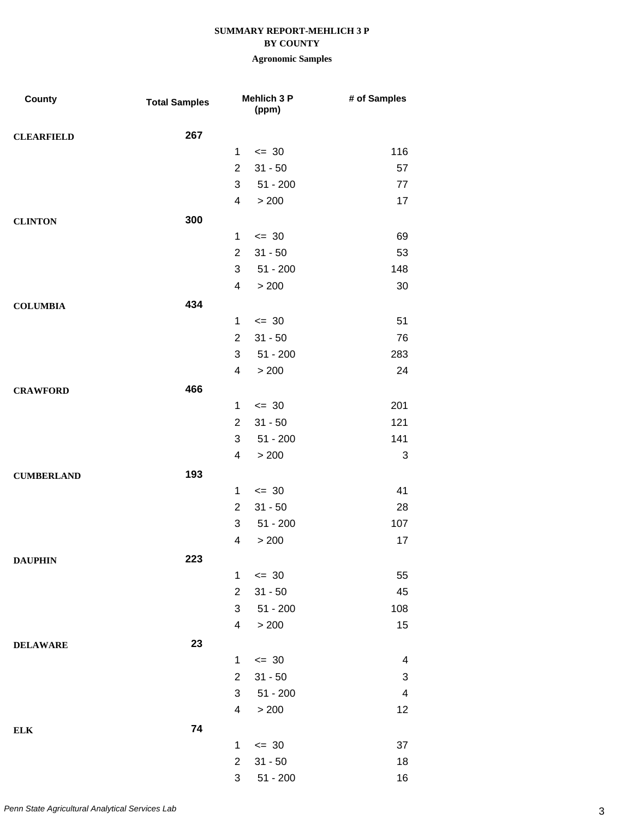## **BY COUNTY**

| County            | <b>Total Samples</b> |                | Mehlich 3 P<br>(ppm) | # of Samples             |
|-------------------|----------------------|----------------|----------------------|--------------------------|
| <b>CLEARFIELD</b> | 267                  |                |                      |                          |
|                   |                      | $\mathbf{1}$   | $= 30$               | 116                      |
|                   |                      | $\overline{2}$ | $31 - 50$            | 57                       |
|                   |                      | 3              | $51 - 200$           | 77                       |
|                   |                      | $\overline{4}$ | > 200                | 17                       |
| <b>CLINTON</b>    | 300                  |                |                      |                          |
|                   |                      | $\mathbf{1}$   | $\leq$ 30            | 69                       |
|                   |                      | $\overline{2}$ | $31 - 50$            | 53                       |
|                   |                      | 3              | $51 - 200$           | 148                      |
|                   |                      | $\overline{4}$ | > 200                | 30                       |
| <b>COLUMBIA</b>   | 434                  |                |                      |                          |
|                   |                      | $\mathbf{1}$   | $\leq$ 30            | 51                       |
|                   |                      | $\overline{2}$ | $31 - 50$            | 76                       |
|                   |                      | 3              | $51 - 200$           | 283                      |
|                   |                      | $\overline{4}$ | > 200                | 24                       |
| <b>CRAWFORD</b>   | 466                  |                |                      |                          |
|                   |                      | $\mathbf{1}$   | $\leq$ 30            | 201                      |
|                   |                      | $\overline{2}$ | $31 - 50$            | 121                      |
|                   |                      | 3              | $51 - 200$           | 141                      |
|                   |                      | 4              | > 200                | 3                        |
| <b>CUMBERLAND</b> | 193                  |                |                      |                          |
|                   |                      | $\mathbf 1$    | $\leq$ 30            | 41                       |
|                   |                      | $\overline{2}$ | $31 - 50$            | 28                       |
|                   |                      | 3              | $51 - 200$           | 107                      |
|                   |                      | 4              | > 200                | 17                       |
| <b>DAUPHIN</b>    | 223                  |                |                      |                          |
|                   |                      | $\mathbf{1}$   | $\leq$ 30            | 55                       |
|                   |                      | $\overline{2}$ | $31 - 50$            | 45                       |
|                   |                      | 3              | $51 - 200$           | 108                      |
|                   |                      | $\overline{4}$ | > 200                | 15                       |
| <b>DELAWARE</b>   | 23                   |                |                      |                          |
|                   |                      | $\mathbf 1$    | $\leq$ 30            | $\overline{\mathbf{4}}$  |
|                   |                      | 2              | $31 - 50$            | 3                        |
|                   |                      | 3              | $51 - 200$           | $\overline{\mathcal{A}}$ |
|                   |                      | 4              | > 200                | 12                       |
| ${\bf ELK}$       | 74                   |                |                      |                          |
|                   |                      | $\mathbf 1$    | $\leq$ 30            | 37                       |
|                   |                      | $\overline{2}$ | $31 - 50$            | 18                       |
|                   |                      | 3              | $51 - 200$           | 16                       |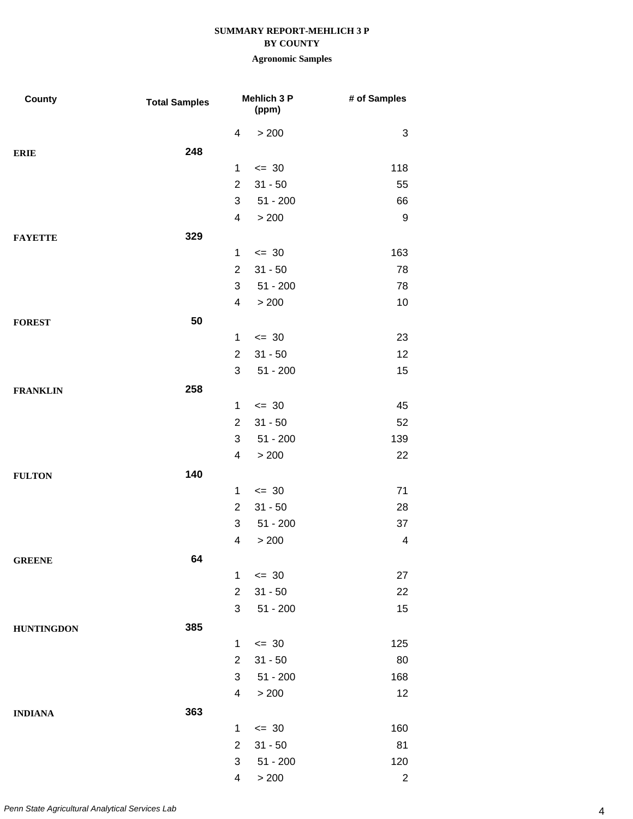### **BY COUNTY**

| County            | <b>Total Samples</b> |                | Mehlich 3 P<br>(ppm) | # of Samples   |
|-------------------|----------------------|----------------|----------------------|----------------|
|                   |                      | 4              | > 200                | 3              |
| <b>ERIE</b>       | 248                  |                |                      |                |
|                   |                      | 1              | $= 30$               | 118            |
|                   |                      | $\overline{2}$ | $31 - 50$            | 55             |
|                   |                      | 3              | $51 - 200$           | 66             |
|                   |                      | 4              | > 200                | 9              |
| <b>FAYETTE</b>    | 329                  |                |                      |                |
|                   |                      | $\mathbf{1}$   | $\leq$ 30            | 163            |
|                   |                      | $\overline{2}$ | $31 - 50$            | 78             |
|                   |                      | 3              | $51 - 200$           | 78             |
|                   |                      | 4              | > 200                | 10             |
| <b>FOREST</b>     | 50                   |                |                      |                |
|                   |                      | $\mathbf 1$    | $\leq$ 30            | 23             |
|                   |                      | $\overline{2}$ | $31 - 50$            | 12             |
|                   |                      | 3              | $51 - 200$           | 15             |
| <b>FRANKLIN</b>   | 258                  |                |                      |                |
|                   |                      | $\mathbf 1$    | $\leq$ 30            | 45             |
|                   |                      | $\overline{2}$ | $31 - 50$            | 52             |
|                   |                      | 3              | $51 - 200$           | 139            |
|                   |                      | 4              | > 200                | 22             |
| <b>FULTON</b>     | 140                  |                |                      |                |
|                   |                      | $\mathbf 1$    | $\leq$ 30            | 71             |
|                   |                      | $\overline{2}$ | $31 - 50$            | 28             |
|                   |                      | 3              | $51 - 200$           | 37             |
|                   |                      | 4              | > 200                | 4              |
| <b>GREENE</b>     | 64                   |                |                      |                |
|                   |                      | $\mathbf{1}$   | $\leq$ 30            | 27             |
|                   |                      | $\overline{2}$ | $31 - 50$            | 22             |
|                   |                      | 3              | $51 - 200$           | 15             |
| <b>HUNTINGDON</b> | 385                  |                |                      |                |
|                   |                      | $\mathbf 1$    | $\leq$ 30            | 125            |
|                   |                      | $\overline{2}$ | $31 - 50$            | 80             |
|                   |                      | 3              | $51 - 200$           | 168            |
|                   |                      | 4              | > 200                | 12             |
| <b>INDIANA</b>    | 363                  |                |                      |                |
|                   |                      | $\mathbf 1$    | $\leq$ 30            | 160            |
|                   |                      | $\overline{2}$ | $31 - 50$            | 81             |
|                   |                      | 3              | $51 - 200$           | 120            |
|                   |                      | 4              | > 200                | $\overline{c}$ |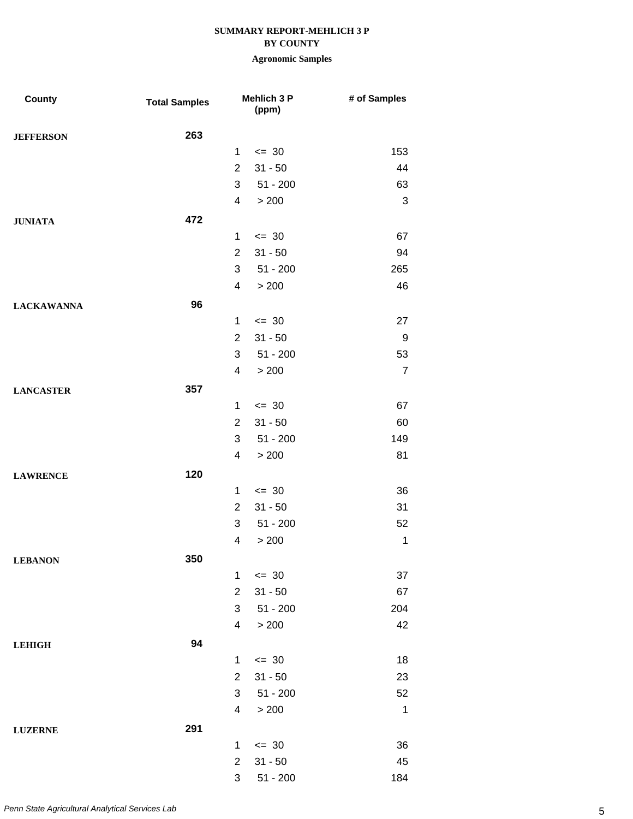## **BY COUNTY**

| County            | <b>Total Samples</b> |                | <b>Mehlich 3 P</b><br>(ppm) | # of Samples   |
|-------------------|----------------------|----------------|-----------------------------|----------------|
| <b>JEFFERSON</b>  | 263                  |                |                             |                |
|                   |                      | $\mathbf{1}$   | $= 30$                      | 153            |
|                   |                      | $\overline{2}$ | $31 - 50$                   | 44             |
|                   |                      | 3              | $51 - 200$                  | 63             |
|                   |                      | 4              | > 200                       | $\sqrt{3}$     |
| <b>JUNIATA</b>    | 472                  |                |                             |                |
|                   |                      | $\mathbf{1}$   | $\leq$ 30                   | 67             |
|                   |                      | $\overline{2}$ | $31 - 50$                   | 94             |
|                   |                      | 3              | $51 - 200$                  | 265            |
|                   |                      | 4              | > 200                       | 46             |
| <b>LACKAWANNA</b> | 96                   |                |                             |                |
|                   |                      | $\mathbf{1}$   | $= 30$                      | 27             |
|                   |                      | $\overline{2}$ | $31 - 50$                   | 9              |
|                   |                      | 3              | $51 - 200$                  | 53             |
|                   |                      | 4              | > 200                       | $\overline{7}$ |
| <b>LANCASTER</b>  | 357                  |                |                             |                |
|                   |                      | $\mathbf{1}$   | $\leq$ 30                   | 67             |
|                   |                      | $\overline{2}$ | $31 - 50$                   | 60             |
|                   |                      | 3              | $51 - 200$                  | 149            |
|                   |                      | 4              | > 200                       | 81             |
| <b>LAWRENCE</b>   | 120                  |                |                             |                |
|                   |                      | $\mathbf{1}$   | $\leq$ 30                   | 36             |
|                   |                      | $\overline{2}$ | $31 - 50$                   | 31             |
|                   |                      | 3              | $51 - 200$                  | 52             |
|                   |                      | 4              | > 200                       | $\mathbf 1$    |
| <b>LEBANON</b>    | 350                  |                |                             |                |
|                   |                      | $\mathbf{1}$   | $\leq$ 30                   | 37             |
|                   |                      | $\overline{2}$ | $31 - 50$                   | 67             |
|                   |                      | 3              | $51 - 200$                  | 204            |
|                   |                      | 4              | > 200                       | 42             |
| <b>LEHIGH</b>     | 94                   |                |                             |                |
|                   |                      | 1              | $\leq$ 30                   | 18             |
|                   |                      | $\overline{2}$ | $31 - 50$                   | 23             |
|                   |                      | 3              | $51 - 200$                  | 52             |
|                   |                      | 4              | > 200                       | $\mathbf 1$    |
| <b>LUZERNE</b>    | 291                  |                |                             |                |
|                   |                      | $\mathbf{1}$   | $\leq$ 30                   | 36             |
|                   |                      | $\overline{2}$ | $31 - 50$                   | 45             |
|                   |                      | 3              | $51 - 200$                  | 184            |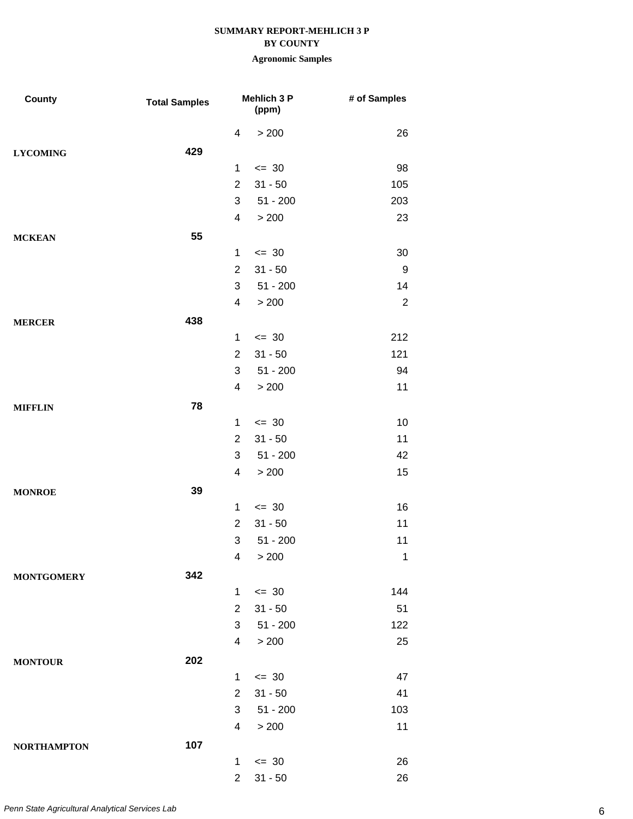### **BY COUNTY**

| County             | <b>Total Samples</b> |                | <b>Mehlich 3 P</b><br>(ppm) | # of Samples   |
|--------------------|----------------------|----------------|-----------------------------|----------------|
|                    |                      | 4              | > 200                       | 26             |
| <b>LYCOMING</b>    | 429                  |                |                             |                |
|                    |                      | $\mathbf{1}$   | $= 30$                      | 98             |
|                    |                      | $\overline{2}$ | $31 - 50$                   | 105            |
|                    |                      | 3              | $51 - 200$                  | 203            |
|                    |                      | 4              | > 200                       | 23             |
| <b>MCKEAN</b>      | 55                   |                |                             |                |
|                    |                      | $\mathbf{1}$   | $\leq$ 30                   | 30             |
|                    |                      | $\overline{2}$ | $31 - 50$                   | 9              |
|                    |                      | 3              | $51 - 200$                  | 14             |
|                    |                      | 4              | > 200                       | $\overline{2}$ |
| <b>MERCER</b>      | 438                  |                |                             |                |
|                    |                      | $\mathbf{1}$   | $= 30$                      | 212            |
|                    |                      | $\overline{2}$ | $31 - 50$                   | 121            |
|                    |                      | 3              | $51 - 200$                  | 94             |
|                    |                      | 4              | > 200                       | 11             |
| <b>MIFFLIN</b>     | 78                   |                |                             |                |
|                    |                      | $\mathbf{1}$   | $= 30$                      | 10             |
|                    |                      | $\overline{2}$ | $31 - 50$                   | 11             |
|                    |                      | 3              | $51 - 200$                  | 42             |
|                    |                      | 4              | > 200                       | 15             |
| <b>MONROE</b>      | 39                   |                |                             |                |
|                    |                      | $\mathbf{1}$   | $= 30$                      | 16             |
|                    |                      | $\overline{2}$ | $31 - 50$                   | 11             |
|                    |                      | 3              | $51 - 200$                  | 11             |
|                    |                      |                | 4 > 200                     | $\mathbf{1}$   |
| <b>MONTGOMERY</b>  | 342                  |                |                             |                |
|                    |                      | $\mathbf{1}$   | $\leq$ 30                   | 144            |
|                    |                      | $\overline{2}$ | $31 - 50$                   | 51             |
|                    |                      | 3              | 51 - 200                    | 122            |
|                    |                      | 4              | > 200                       | 25             |
| <b>MONTOUR</b>     | 202                  |                |                             |                |
|                    |                      | $\mathbf{1}$   | $= 30$                      | 47             |
|                    |                      | $\overline{2}$ | $31 - 50$                   | 41             |
|                    |                      | 3              | $51 - 200$                  | 103            |
|                    |                      | 4              | > 200                       | 11             |
| <b>NORTHAMPTON</b> | 107                  |                |                             |                |
|                    |                      | $\mathbf{1}$   | $\leq$ 30                   | 26             |
|                    |                      | $\overline{c}$ | $31 - 50$                   | 26             |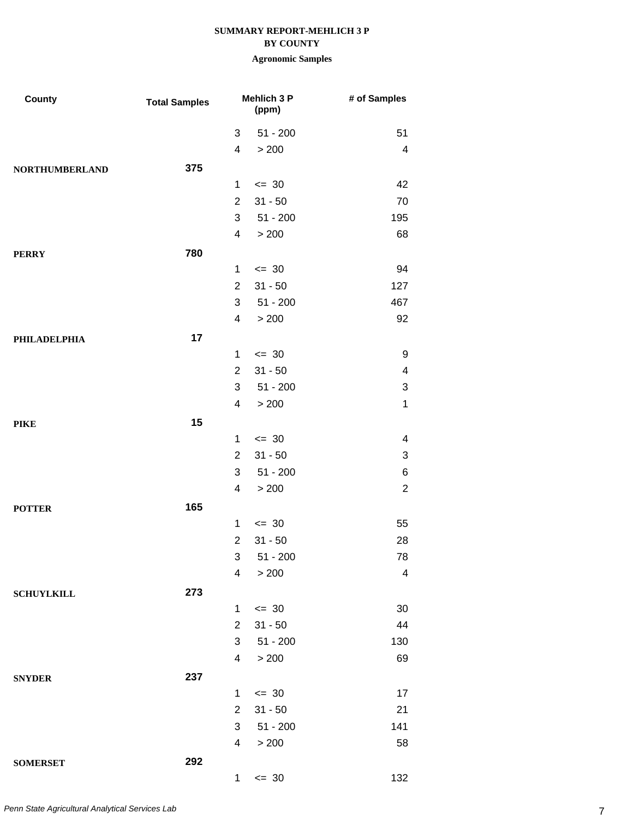### **BY COUNTY**

| County                | <b>Total Samples</b> |                          | Mehlich 3 P<br>(ppm) | # of Samples            |
|-----------------------|----------------------|--------------------------|----------------------|-------------------------|
|                       |                      | 3                        | $51 - 200$           | 51                      |
|                       |                      | 4                        | > 200                | 4                       |
| <b>NORTHUMBERLAND</b> | 375                  |                          |                      |                         |
|                       |                      | $\mathbf{1}$             | $\leq$ 30            | 42                      |
|                       |                      | $\overline{2}$           | $31 - 50$            | 70                      |
|                       |                      | 3                        | $51 - 200$           | 195                     |
|                       |                      | 4                        | > 200                | 68                      |
| <b>PERRY</b>          | 780                  |                          |                      |                         |
|                       |                      | $\mathbf{1}$             | $= 30$               | 94                      |
|                       |                      | $\overline{2}$           | $31 - 50$            | 127                     |
|                       |                      | 3                        | $51 - 200$           | 467                     |
|                       |                      | 4                        | > 200                | 92                      |
| <b>PHILADELPHIA</b>   | 17                   |                          |                      |                         |
|                       |                      | $\mathbf{1}$             | $= 30$               | 9                       |
|                       |                      | $\overline{2}$           | $31 - 50$            | 4                       |
|                       |                      | 3                        | $51 - 200$           | 3                       |
|                       |                      | 4                        | > 200                | $\mathbf 1$             |
| <b>PIKE</b>           | 15                   |                          |                      |                         |
|                       |                      | $\mathbf{1}$             | $\leq$ 30            | 4                       |
|                       |                      | $\overline{2}$           | $31 - 50$            | 3                       |
|                       |                      | 3                        | $51 - 200$           | 6                       |
|                       |                      | 4                        | > 200                | $\overline{2}$          |
| <b>POTTER</b>         | 165                  |                          |                      |                         |
|                       |                      | $\mathbf 1$              | $\leq$ 30            | 55                      |
|                       |                      | $\mathbf{2}$             | $31 - 50$            | 28                      |
|                       |                      |                          | $3 51 - 200$         | ${\bf 78}$              |
|                       |                      | $\overline{\mathcal{A}}$ | > 200                | $\overline{\mathbf{4}}$ |
| <b>SCHUYLKILL</b>     | 273                  |                          |                      |                         |
|                       |                      | $\mathbf 1$              | $= 30$               | 30                      |
|                       |                      | $\overline{2}$           | $31 - 50$            | 44                      |
|                       |                      | 3                        | $51 - 200$           | 130                     |
|                       |                      | 4                        | > 200                | 69                      |
| <b>SNYDER</b>         | 237                  |                          |                      |                         |
|                       |                      | $\mathbf{1}$             | $\leq$ 30            | 17                      |
|                       |                      | $\overline{2}$           | $31 - 50$            | 21                      |
|                       |                      | 3                        | $51 - 200$           | 141                     |
|                       |                      | 4                        | > 200                | 58                      |
| <b>SOMERSET</b>       | 292                  |                          |                      |                         |
|                       |                      | $\mathbf{1}$             | $= 30$               | 132                     |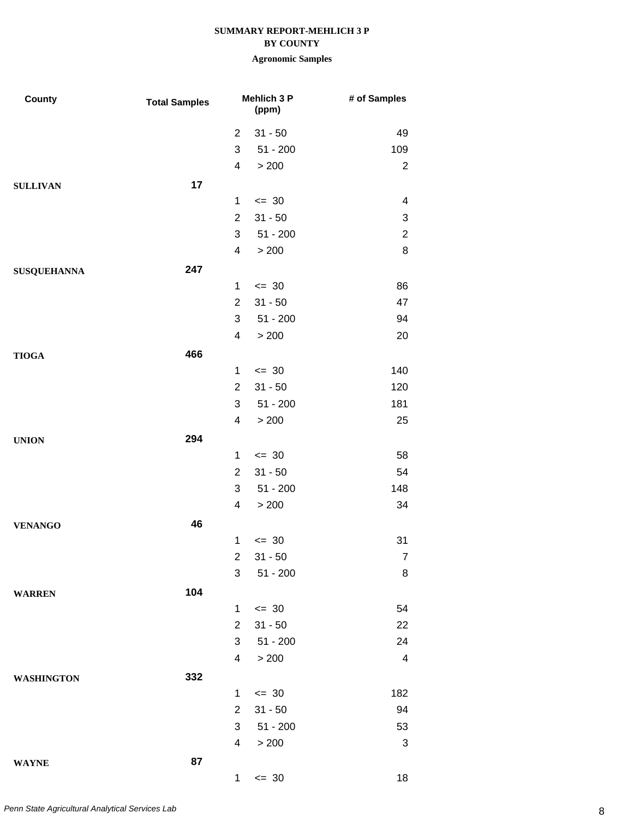### **BY COUNTY**

| County             | <b>Total Samples</b> |                          | <b>Mehlich 3 P</b><br>(ppm) | # of Samples            |
|--------------------|----------------------|--------------------------|-----------------------------|-------------------------|
|                    |                      | $\overline{2}$           | $31 - 50$                   | 49                      |
|                    |                      | 3                        | $51 - 200$                  | 109                     |
|                    |                      | $\overline{\mathcal{A}}$ | > 200                       | $\overline{2}$          |
| <b>SULLIVAN</b>    | 17                   |                          |                             |                         |
|                    |                      | $\mathbf{1}$             | $= 30$                      | 4                       |
|                    |                      | $\overline{2}$           | $31 - 50$                   | 3                       |
|                    |                      | 3                        | $51 - 200$                  | $\overline{2}$          |
|                    |                      | $\overline{\mathcal{A}}$ | > 200                       | 8                       |
| <b>SUSQUEHANNA</b> | 247                  |                          |                             |                         |
|                    |                      | $\mathbf{1}$             | $= 30$                      | 86                      |
|                    |                      | $\overline{2}$           | $31 - 50$                   | 47                      |
|                    |                      | 3                        | $51 - 200$                  | 94                      |
|                    |                      | 4                        | > 200                       | 20                      |
| <b>TIOGA</b>       | 466                  |                          |                             |                         |
|                    |                      | $\mathbf{1}$             | $\leq$ 30                   | 140                     |
|                    |                      | $\overline{2}$           | $31 - 50$                   | 120                     |
|                    |                      | 3                        | $51 - 200$                  | 181                     |
|                    |                      | $\overline{\mathcal{A}}$ | > 200                       | 25                      |
| <b>UNION</b>       | 294                  |                          |                             |                         |
|                    |                      | $\mathbf{1}$             | $= 30$                      | 58                      |
|                    |                      | $\overline{2}$           | $31 - 50$                   | 54                      |
|                    |                      | 3                        | $51 - 200$                  | 148                     |
|                    |                      | 4                        | > 200                       | 34                      |
| <b>VENANGO</b>     | 46                   |                          |                             |                         |
|                    |                      | 1                        | $= 30$                      | 31                      |
|                    |                      | $\overline{2}$           | $31 - 50$                   | $\overline{7}$          |
|                    |                      | $\mathfrak{S}$           | $51 - 200$                  | 8                       |
| <b>WARREN</b>      | 104                  |                          |                             |                         |
|                    |                      | $\mathbf 1$              | $\leq$ 30                   | 54                      |
|                    |                      | $\overline{2}$           | $31 - 50$                   | 22                      |
|                    |                      | 3                        | $51 - 200$                  | 24                      |
|                    |                      | 4                        | > 200                       | $\overline{\mathbf{4}}$ |
| <b>WASHINGTON</b>  | 332                  |                          |                             |                         |
|                    |                      | $\mathbf{1}$             | $\leq$ 30                   | 182                     |
|                    |                      | $\overline{2}$           | $31 - 50$                   | 94                      |
|                    |                      | 3                        | $51 - 200$                  | 53                      |
|                    |                      | $\overline{4}$           | > 200                       | $\sqrt{3}$              |
| <b>WAYNE</b>       | 87                   |                          |                             |                         |
|                    |                      | 1                        | $\leq$ 30                   | 18                      |